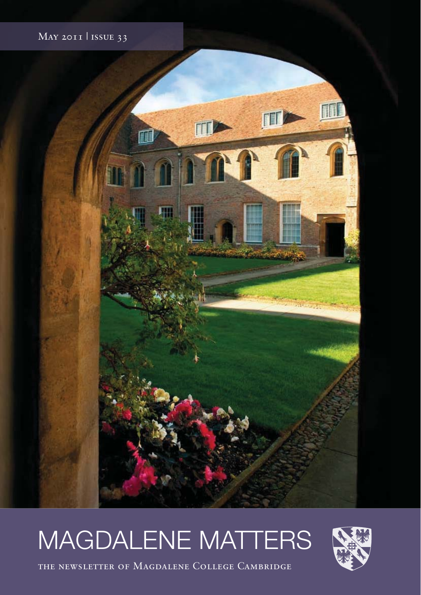

# MAGDALENE MATTERS



the newsletter of Magdalene College Cambridge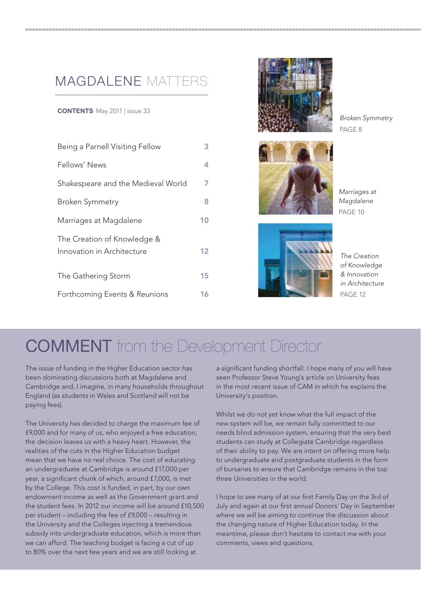### MAGDALENE MATTERS

#### **CONTENTS** May 2011 | issue 33

| Being a Parnell Visiting Fellow                           | 3.                |
|-----------------------------------------------------------|-------------------|
| Fellows' News                                             | 4                 |
| Shakespeare and the Medieval World                        | 7                 |
| Broken Symmetry                                           | 8                 |
| Marriages at Magdalene                                    | 10                |
| The Creation of Knowledge &<br>Innovation in Architecture | $12 \overline{ }$ |
| The Gathering Storm                                       | 15                |
| Forthcoming Events & Reunions                             | 16                |



Broken Symmetry PAGE 8



Marriages at Magdalene PAGE 10



The Creation of Knowledge & Innovation in Architecture PAGE 12

### **COMMENT** from the Development Director

The issue of funding in the Higher Education sector has been dominating discussions both at Magdalene and Cambridge and, I imagine, in many households throughout England (as students in Wales and Scotland will not be paying fees).

The University has decided to charge the maximum fee of £9,000 and for many of us, who enjoyed a free education, the decision leaves us with a heavy heart. However, the realities of the cuts in the Higher Education budget mean that we have no real choice. The cost of educating an undergraduate at Cambridge is around £17,000 per year, a significant chunk of which, around £7,000, is met by the College. This cost is funded, in part, by our own endowment income as well as the Government grant and the student fees. In 2012 our income will be around £10,500 per student – including the fee of £9,000 – resulting in the University and the Colleges injecting a tremendous subsidy into undergraduate education, which is more than we can afford. The teaching budget is facing a cut of up to 80% over the next few years and we are still looking at

a significant funding shortfall. I hope many of you will have seen Professor Steve Young's article on University fees in the most recent issue of CAM in which he explains the University's position.

Whilst we do not yet know what the full impact of the new system will be, we remain fully committed to our needs blind admission system, ensuring that the very best students can study at Collegiate Cambridge regardless of their ability to pay. We are intent on offering more help to undergraduate and postgraduate students in the form of bursaries to ensure that Cambridge remains in the top three Universities in the world.

I hope to see many of at our first Family Day on the 3rd of July and again at our first annual Donors' Day in September where we will be aiming to continue the discussion about the changing nature of Higher Education today. In the meantime, please don't hesitate to contact me with your comments, views and questions.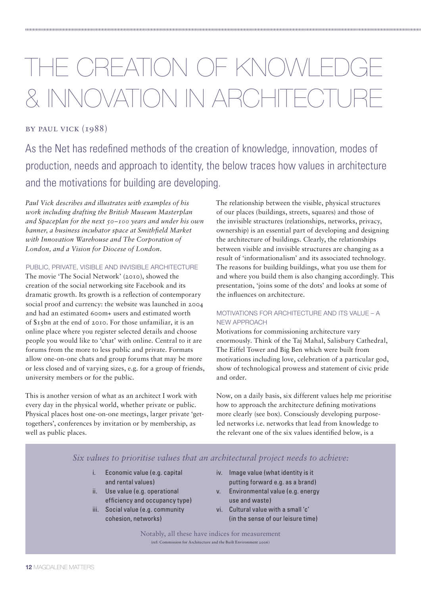# THE CREATION OF KNOV & INNOVATION IN ARCHITE

### by paul vick (1988)

As the Net has redefined methods of the creation of knowledge, innovation, modes of production, needs and approach to identity, the below traces how values in architecture and the motivations for building are developing.

*Paul Vick describes and illustrates with examples of his work including drafting the British Museum Masterplan and Spaceplan for the next 50–100 years and under his own banner, a business incubator space at Smithfield Market with Innovation Warehouse and The Corporation of London, and a Vision for Diocese of London.*

PUBLIC, PRIVATE, VISIBLE AND INVISIBLE ARCHITECTURE

The movie 'The Social Network' (2010), showed the creation of the social networking site Facebook and its dramatic growth. Its growth is a reflection of contemporary social proof and currency: the website was launched in 2004 and had an estimated 600m+ users and estimated worth of \$15bn at the end of 2010. For those unfamiliar, it is an online place where you register selected details and choose people you would like to 'chat' with online. Central to it are forums from the more to less public and private. Formats allow one-on-one chats and group forums that may be more or less closed and of varying sizes, e.g. for a group of friends, university members or for the public.

This is another version of what as an architect I work with every day in the physical world, whether private or public. Physical places host one-on-one meetings, larger private 'gettogethers', conferences by invitation or by membership, as well as public places.

The relationship between the visible, physical structures of our places (buildings, streets, squares) and those of the invisible structures (relationships, networks, privacy, ownership) is an essential part of developing and designing the architecture of buildings. Clearly, the relationships between visible and invisible structures are changing as a result of 'informationalism' and its associated technology. The reasons for building buildings, what you use them for and where you build them is also changing accordingly. This presentation, 'joins some of the dots' and looks at some of the influences on architecture.

### MOTIVATIONS FOR ARCHITECTURE AND ITS VALUE – A NEW APPROACH

Motivations for commissioning architecture vary enormously. Think of the Taj Mahal, Salisbury Cathedral, The Eiffel Tower and Big Ben which were built from motivations including love, celebration of a particular god, show of technological prowess and statement of civic pride and order.

Now, on a daily basis, six different values help me prioritise how to approach the architecture defining motivations more clearly (see box). Consciously developing purposeled networks i.e. networks that lead from knowledge to the relevant one of the six values identified below, is a

*Six values to prioritise values that an architectural project needs to achieve:*

- i. Economic value (e.g. capital and rental values)
- ii. Use value (e.g. operational efficiency and occupancy type)
- iii. Social value (e.g. community cohesion, networks)
- iv. Image value (what identity is it putting forward e.g. as a brand)
- v. Environmental value (e.g. energy use and waste)
- vi. Cultural value with a small 'c' (in the sense of our leisure time)

Notably, all these have indices for measurement (ref: Commission for Architecture and the Built Environment 2006)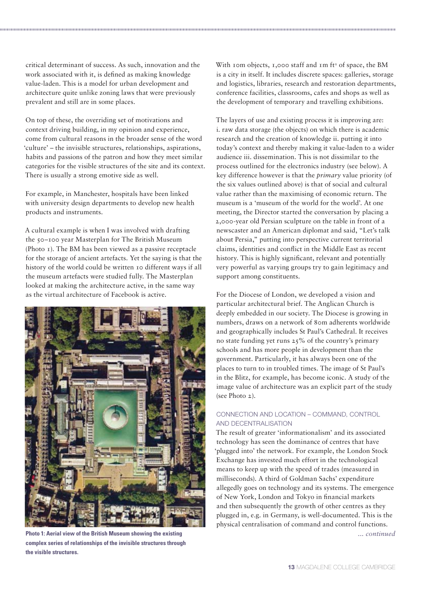critical determinant of success. As such, innovation and the work associated with it, is defined as making knowledge value-laden. This is a model for urban development and architecture quite unlike zoning laws that were previously prevalent and still are in some places.

On top of these, the overriding set of motivations and context driving building, in my opinion and experience, come from cultural reasons in the broader sense of the word 'culture' – the invisible structures, relationships, aspirations, habits and passions of the patron and how they meet similar categories for the visible structures of the site and its context. There is usually a strong emotive side as well.

For example, in Manchester, hospitals have been linked with university design departments to develop new health products and instruments.

A cultural example is when I was involved with drafting the 50–100 year Masterplan for The British Museum (Photo 1). The BM has been viewed as a passive receptacle for the storage of ancient artefacts. Yet the saying is that the history of the world could be written 10 different ways if all the museum artefacts were studied fully. The Masterplan looked at making the architecture active, in the same way as the virtual architecture of Facebook is active.



**Photo 1: Aerial view of the British Museum showing the existing complex series of relationships of the invisible structures through the visible structures.**

With 10m objects, 1,000 staff and  $Im ft<sup>2</sup>$  of space, the BM is a city in itself. It includes discrete spaces: galleries, storage and logistics, libraries, research and restoration departments, conference facilities, classrooms, cafes and shops as well as the development of temporary and travelling exhibitions.

The layers of use and existing process it is improving are: i. raw data storage (the objects) on which there is academic research and the creation of knowledge ii. putting it into today's context and thereby making it value-laden to a wider audience iii. dissemination. This is not dissimilar to the process outlined for the electronics industry (see below). A key difference however is that the *primary* value priority (of the six values outlined above) is that of social and cultural value rather than the maximising of economic return. The museum is a 'museum of the world for the world'. At one meeting, the Director started the conversation by placing a 2,000-year old Persian sculpture on the table in front of a newscaster and an American diplomat and said, "Let's talk about Persia," putting into perspective current territorial claims, identities and conflict in the Middle East as recent history. This is highly significant, relevant and potentially very powerful as varying groups try to gain legitimacy and support among constituents.

For the Diocese of London, we developed a vision and particular architectural brief. The Anglican Church is deeply embedded in our society. The Diocese is growing in numbers, draws on a network of 80m adherents worldwide and geographically includes St Paul's Cathedral. It receives no state funding yet runs 25% of the country's primary schools and has more people in development than the government. Particularly, it has always been one of the places to turn to in troubled times. The image of St Paul's in the Blitz, for example, has become iconic. A study of the image value of architecture was an explicit part of the study (see Photo 2).

#### CONNECTION AND LOCATION – COMMAND, CONTROL AND DECENTRALISATION

The result of greater 'informationalism' and its associated technology has seen the dominance of centres that have 'plugged into' the network. For example, the London Stock Exchange has invested much effort in the technological means to keep up with the speed of trades (measured in milliseconds). A third of Goldman Sachs' expenditure allegedly goes on technology and its systems. The emergence of New York, London and Tokyo in financial markets and then subsequently the growth of other centres as they plugged in, e.g. in Germany, is well-documented. This is the physical centralisation of command and control functions. *... continued*